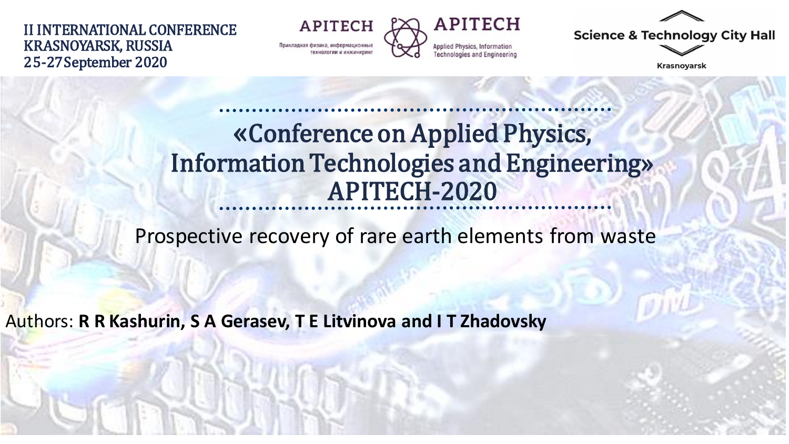II INTERNATIONAL CONFERENCE KRASNOYARSK, RUSSIA 25-27September 2020

**APITECH** Прикладная физика, информационны



**Science & Technology City Hall** 

**Krasnoyarsk** 

### «Conference on Applied Physics, Information Technologies and Engineering» APITECH-2020

Prospective recovery of rare earth elements from waste

Authors: **R R Kashurin, S A Gerasev, T E Litvinova and I T Zhadovsky**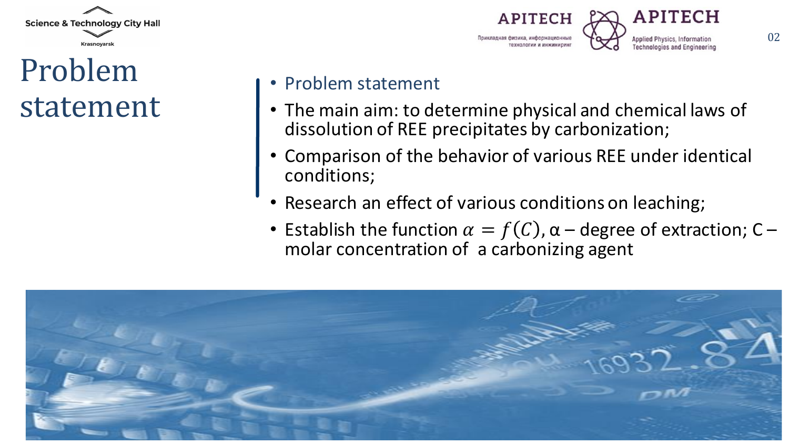

## Problem statement



#### • Problem statement

- The main aim: to determine physical and chemical laws of dissolution of REE precipitates by carbonization;
- Comparison of the behavior of various REE under identical conditions;
- Research an effect of various conditions on leaching;
- Establish the function  $\alpha = f(C)$ ,  $\alpha$  degree of extraction; C molar concentration of a carbonizing agent

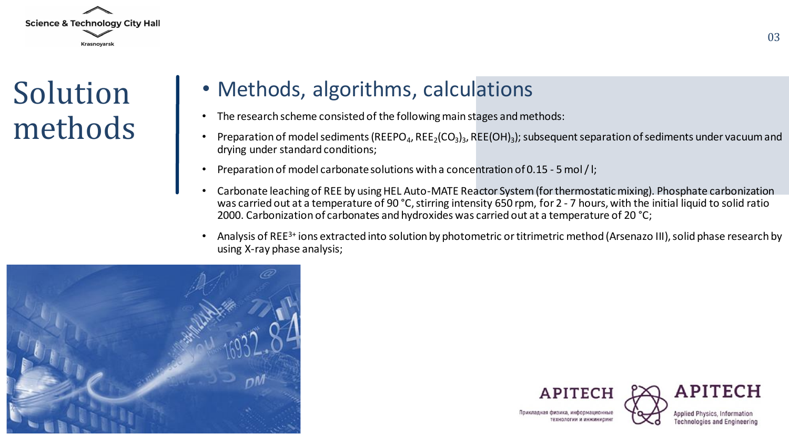

Solution methods

#### • Methods, algorithms, calculations

- The research scheme consisted of the following main stages and methods:
- Preparation of model sediments (REEPO<sub>4</sub>, REE<sub>2</sub>(CO<sub>3</sub>)<sub>3</sub>, REE(OH)<sub>3</sub>); subsequent separation of sediments under vacuum and drying under standard conditions;
- Preparation of model carbonate solutions with a concentration of 0.15 5 mol/l;
- Carbonate leaching of REE by using HEL Auto-MATE Reactor System (for thermostatic mixing). Phosphate carbonization was carried out at a temperature of 90 °С, stirring intensity 650 rpm, for 2 - 7 hours, with the initial liquid to solid ratio 2000. Carbonization of carbonates and hydroxides was carried out at a temperature of 20 °С;
- Analysis of REE3+ ions extracted into solution by photometric or titrimetric method (Arsenazo III), solid phase research by using X-ray phase analysis;







Поикладная физика информационны

**Applied Physics, Inform Technologies and Engineering**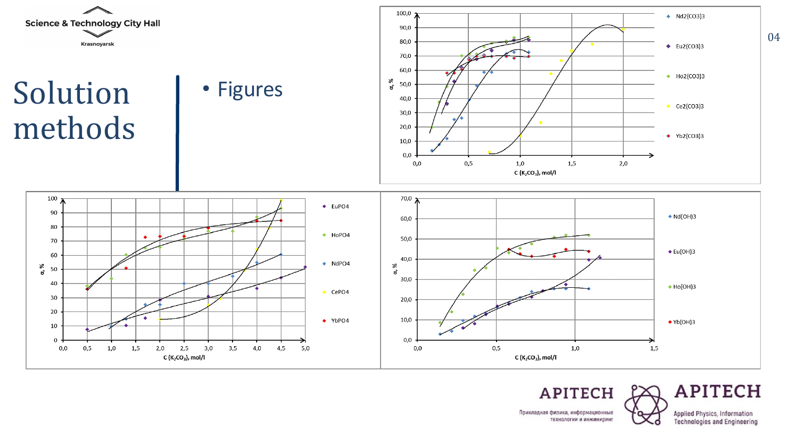

# Solution methods









#### **APITECH**

Прикладная физика, информационные

Applied Physics, Information<br>Technologies and Engineering

технологии и инжиниринг

**APITECH**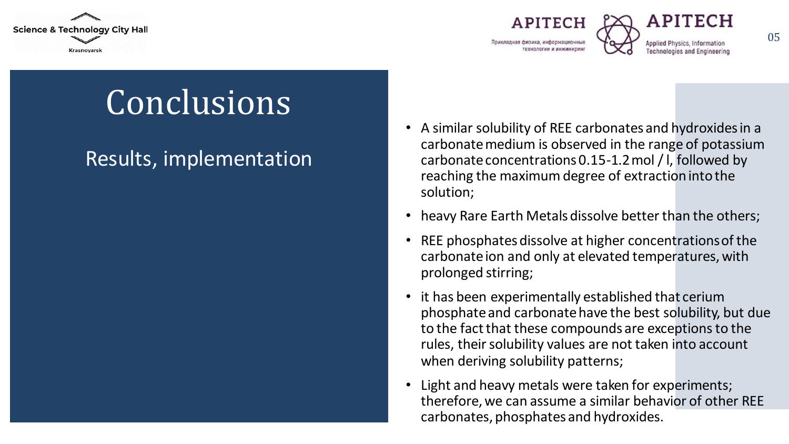





05

# **Conclusions**

#### Results, implementation

- A similar solubility of REE carbonates and hydroxides in a carbonate medium is observed in the range of potassium carbonate concentrations 0.15-1.2 mol /l, followed by reaching the maximum degree of extraction into the solution;
- heavy Rare Earth Metals dissolve better than the others;
- REE phosphates dissolve at higher concentrations of the carbonate ion and only at elevated temperatures, with prolonged stirring;
- it has been experimentally established that cerium phosphate and carbonate have the best solubility, but due to the fact that these compounds are exceptions to the rules, their solubility values are not taken into account when deriving solubility patterns;
- Light and heavy metals were taken for experiments; therefore, we can assume a similar behavior of other REE carbonates, phosphates and hydroxides.